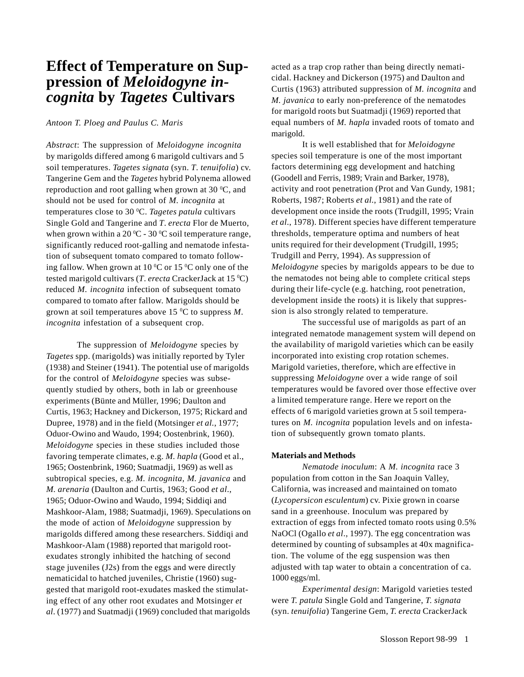# **Effect of Temperature on Suppression of** *Meloidogyne incognita* **by** *Tagetes* **Cultivars**

#### *Antoon T. Ploeg and Paulus C. Maris*

*Abstract*: The suppression of *Meloidogyne incognita* by marigolds differed among 6 marigold cultivars and 5 soil temperatures. *Tagetes signata* (syn. *T*. *tenuifolia*) cv. Tangerine Gem and the *Tagetes* hybrid Polynema allowed reproduction and root galling when grown at 30  $\rm{^0C}$ , and should not be used for control of *M*. *incognita* at temperatures close to 30 0 C. *Tagetes patula* cultivars Single Gold and Tangerine and *T*. *erecta* Flor de Muerto, when grown within a 20  $\mathrm{^0C}$  - 30  $\mathrm{^0C}$  soil temperature range, significantly reduced root-galling and nematode infestation of subsequent tomato compared to tomato following fallow. When grown at 10  $\rm{^0C}$  or 15  $\rm{^0C}$  only one of the tested marigold cultivars (*T*. *erecta* CrackerJack at 15 0 C) reduced *M*. *incognita* infection of subsequent tomato compared to tomato after fallow. Marigolds should be grown at soil temperatures above 15 0 C to suppress *M*. *incognita* infestation of a subsequent crop.

The suppression of *Meloidogyne* species by *Tagetes* spp. (marigolds) was initially reported by Tyler (1938) and Steiner (1941). The potential use of marigolds for the control of *Meloidogyne* species was subsequently studied by others, both in lab or greenhouse experiments (Bünte and Müller, 1996; Daulton and Curtis, 1963; Hackney and Dickerson, 1975; Rickard and Dupree, 1978) and in the field (Motsinger *et al.*, 1977; Oduor-Owino and Waudo, 1994; Oostenbrink, 1960). *Meloidogyne* species in these studies included those favoring temperate climates, e.g. *M. hapla* (Good et al., 1965; Oostenbrink, 1960; Suatmadji, 1969) as well as subtropical species, e.g. *M. incognita, M. javanica* and *M. arenaria* (Daulton and Curtis, 1963; Good *et al*., 1965; Oduor-Owino and Waudo, 1994; Siddiqi and Mashkoor-Alam, 1988; Suatmadji, 1969). Speculations on the mode of action of *Meloidogyne* suppression by marigolds differed among these researchers. Siddiqi and Mashkoor-Alam (1988) reported that marigold rootexudates strongly inhibited the hatching of second stage juveniles (J2s) from the eggs and were directly nematicidal to hatched juveniles, Christie (1960) suggested that marigold root-exudates masked the stimulating effect of any other root exudates and Motsinger *et al*. (1977) and Suatmadji (1969) concluded that marigolds

acted as a trap crop rather than being directly nematicidal. Hackney and Dickerson (1975) and Daulton and Curtis (1963) attributed suppression of *M. incognita* and *M. javanica* to early non-preference of the nematodes for marigold roots but Suatmadji (1969) reported that equal numbers of *M. hapla* invaded roots of tomato and marigold.

It is well established that for *Meloidogyne* species soil temperature is one of the most important factors determining egg development and hatching (Goodell and Ferris, 1989; Vrain and Barker, 1978), activity and root penetration (Prot and Van Gundy, 1981; Roberts, 1987; Roberts *et al*., 1981) and the rate of development once inside the roots (Trudgill, 1995; Vrain *et al*., 1978). Different species have different temperature thresholds, temperature optima and numbers of heat units required for their development (Trudgill, 1995; Trudgill and Perry, 1994). As suppression of *Meloidogyne* species by marigolds appears to be due to the nematodes not being able to complete critical steps during their life-cycle (e.g. hatching, root penetration, development inside the roots) it is likely that suppression is also strongly related to temperature.

The successful use of marigolds as part of an integrated nematode management system will depend on the availability of marigold varieties which can be easily incorporated into existing crop rotation schemes. Marigold varieties, therefore, which are effective in suppressing *Meloidogyne* over a wide range of soil temperatures would be favored over those effective over a limited temperature range. Here we report on the effects of 6 marigold varieties grown at 5 soil temperatures on *M. incognita* population levels and on infestation of subsequently grown tomato plants.

#### **Materials and Methods**

*Nematode inoculum*: A *M. incognita* race 3 population from cotton in the San Joaquin Valley, California, was increased and maintained on tomato (*Lycopersicon esculentum*) cv. Pixie grown in coarse sand in a greenhouse. Inoculum was prepared by extraction of eggs from infected tomato roots using 0.5% NaOCl (Ogallo *et al*., 1997). The egg concentration was determined by counting of subsamples at 40x magnification. The volume of the egg suspension was then adjusted with tap water to obtain a concentration of ca. 1000 eggs/ml.

*Experimental design*: Marigold varieties tested were *T. patula* Single Gold and Tangerine, *T. signata* (syn. *tenuifolia*) Tangerine Gem, *T. erecta* CrackerJack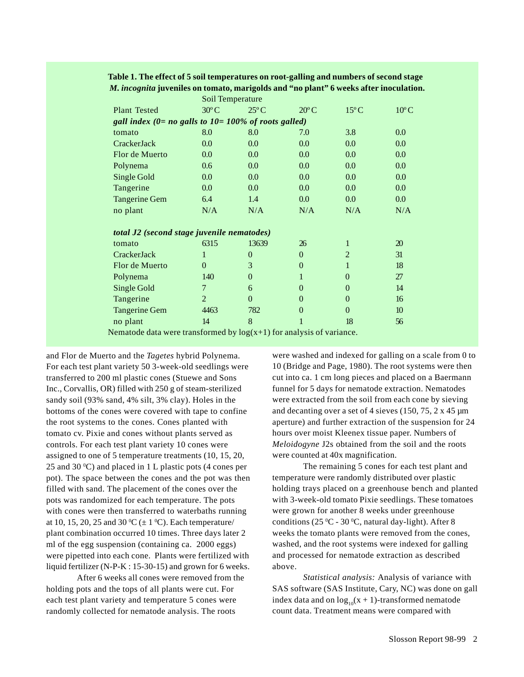|                                                                        |                | Soil Temperature |                |                |                |  |  |  |  |  |
|------------------------------------------------------------------------|----------------|------------------|----------------|----------------|----------------|--|--|--|--|--|
| <b>Plant Tested</b>                                                    | $30^{\circ}$ C | $25^{\circ}$ C   | $20^{\circ}$ C | $15^{\circ}$ C | $10^{\circ}$ C |  |  |  |  |  |
| gall index $(0=$ no galls to $10=100\%$ of roots galled)               |                |                  |                |                |                |  |  |  |  |  |
| tomato                                                                 | 8.0            | 8.0              | 7.0            | 3.8            | 0.0            |  |  |  |  |  |
| CrackerJack                                                            | 0.0            | 0.0              | 0.0            | 0.0            | 0.0            |  |  |  |  |  |
| Flor de Muerto                                                         | 0.0            | 0.0              | 0.0            | 0.0            | 0.0            |  |  |  |  |  |
| Polynema                                                               | 0.6            | 0.0              | 0.0            | 0.0            | 0.0            |  |  |  |  |  |
| Single Gold                                                            | 0.0            | 0.0              | 0.0            | 0.0            | 0.0            |  |  |  |  |  |
| Tangerine                                                              | 0.0            | 0.0              | 0.0            | 0.0            | 0.0            |  |  |  |  |  |
| <b>Tangerine Gem</b>                                                   | 6.4            | 1.4              | 0.0            | 0.0            | 0.0            |  |  |  |  |  |
| no plant                                                               | N/A            | N/A              | N/A            | N/A            | N/A            |  |  |  |  |  |
| total J2 (second stage juvenile nematodes)                             |                |                  |                |                |                |  |  |  |  |  |
| tomato                                                                 | 6315           | 13639            | 26             | 1              | 20             |  |  |  |  |  |
| CrackerJack                                                            | 1              | $\theta$         | $\Omega$       | $\overline{2}$ | 31             |  |  |  |  |  |
| Flor de Muerto                                                         | $\Omega$       | 3                | $\overline{0}$ | 1              | 18             |  |  |  |  |  |
| Polynema                                                               | 140            | $\overline{0}$   | 1              | $\theta$       | 27             |  |  |  |  |  |
| Single Gold                                                            | 7              | 6                | $\overline{0}$ | $\Omega$       | 14             |  |  |  |  |  |
| Tangerine                                                              | $\overline{2}$ | $\theta$         | $\Omega$       | $\theta$       | 16             |  |  |  |  |  |
| <b>Tangerine Gem</b>                                                   | 4463           | 782              | $\overline{0}$ | $\theta$       | 10             |  |  |  |  |  |
| no plant                                                               | 14             | 8                | 1              | 18             | 56             |  |  |  |  |  |
| Nematode data were transformed by $log(x+1)$ for analysis of variance. |                |                  |                |                |                |  |  |  |  |  |

# **Table 1. The effect of 5 soil temperatures on root-galling and numbers of second stage** *M. incognita* **juveniles on tomato, marigolds and "no plant" 6 weeks after inoculation.**

and Flor de Muerto and the *Tagetes* hybrid Polynema. For each test plant variety 50 3-week-old seedlings were transferred to 200 ml plastic cones (Stuewe and Sons Inc., Corvallis, OR) filled with 250 g of steam-sterilized sandy soil (93% sand, 4% silt, 3% clay). Holes in the bottoms of the cones were covered with tape to confine the root systems to the cones. Cones planted with tomato cv. Pixie and cones without plants served as controls. For each test plant variety 10 cones were assigned to one of 5 temperature treatments (10, 15, 20, 25 and 30 °C) and placed in 1 L plastic pots (4 cones per pot). The space between the cones and the pot was then filled with sand. The placement of the cones over the pots was randomized for each temperature. The pots with cones were then transferred to waterbaths running at 10, 15, 20, 25 and 30 °C ( $\pm$  1 °C). Each temperature/ plant combination occurred 10 times. Three days later 2 ml of the egg suspension (containing ca. 2000 eggs) were pipetted into each cone. Plants were fertilized with liquid fertilizer (N-P-K : 15-30-15) and grown for 6 weeks.

After 6 weeks all cones were removed from the holding pots and the tops of all plants were cut. For each test plant variety and temperature 5 cones were randomly collected for nematode analysis. The roots

were washed and indexed for galling on a scale from 0 to 10 (Bridge and Page, 1980). The root systems were then cut into ca. 1 cm long pieces and placed on a Baermann funnel for 5 days for nematode extraction. Nematodes were extracted from the soil from each cone by sieving and decanting over a set of 4 sieves (150, 75, 2 x 45 µm aperture) and further extraction of the suspension for 24 hours over moist Kleenex tissue paper. Numbers of *Meloidogyne* J2s obtained from the soil and the roots were counted at 40x magnification.

The remaining 5 cones for each test plant and temperature were randomly distributed over plastic holding trays placed on a greenhouse bench and planted with 3-week-old tomato Pixie seedlings. These tomatoes were grown for another 8 weeks under greenhouse conditions (25  $\rm{^0C}$  - 30  $\rm{^0C}$ , natural day-light). After 8 weeks the tomato plants were removed from the cones, washed, and the root systems were indexed for galling and processed for nematode extraction as described above.

*Statistical analysis:* Analysis of variance with SAS software (SAS Institute, Cary, NC) was done on gall index data and on  $\log_{10}(x + 1)$ -transformed nematode count data. Treatment means were compared with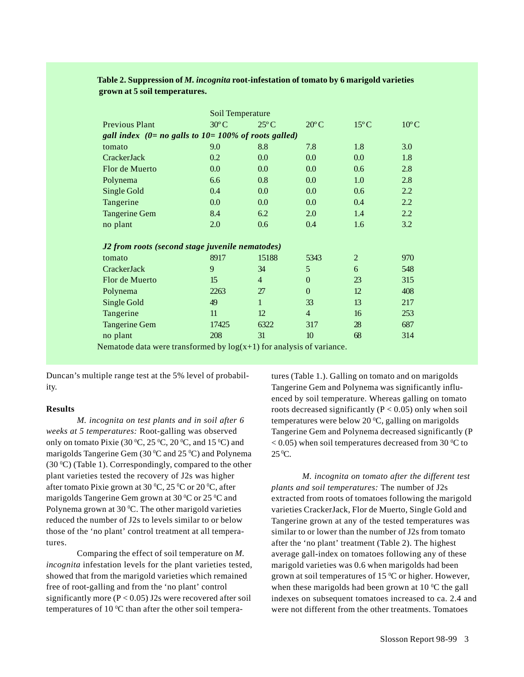|                                                         | Soil Temperature                                                       |                |                |                |                |  |  |  |  |  |
|---------------------------------------------------------|------------------------------------------------------------------------|----------------|----------------|----------------|----------------|--|--|--|--|--|
| <b>Previous Plant</b>                                   | $30^{\circ}$ C                                                         | $25^{\circ}$ C | $20^{\circ}$ C | $15^{\circ}$ C | $10^{\circ}$ C |  |  |  |  |  |
| gall index $(0=no$ galls to $10=100\%$ of roots galled) |                                                                        |                |                |                |                |  |  |  |  |  |
| tomato                                                  | 9.0                                                                    | 8.8            | 7.8            | 1.8            | 3.0            |  |  |  |  |  |
| CrackerJack                                             | 0.2                                                                    | 0.0            | 0.0            | 0.0            | 1.8            |  |  |  |  |  |
| Flor de Muerto                                          | 0.0                                                                    | 0.0            | 0.0            | 0.6            | 2.8            |  |  |  |  |  |
| Polynema                                                | 6.6                                                                    | 0.8            | 0.0            | 1.0            | 2.8            |  |  |  |  |  |
| Single Gold                                             | 0.4                                                                    | 0.0            | 0.0            | 0.6            | $2.2\,$        |  |  |  |  |  |
| Tangerine                                               | 0.0                                                                    | 0.0            | 0.0            | 0.4            | 2.2            |  |  |  |  |  |
| <b>Tangerine Gem</b>                                    | 8.4                                                                    | 6.2            | 2.0            | 1.4            | $2.2^{\circ}$  |  |  |  |  |  |
| no plant                                                | 2.0                                                                    | 0.6            | 0.4            | 1.6            | 3.2            |  |  |  |  |  |
| J2 from roots (second stage juvenile nematodes)         |                                                                        |                |                |                |                |  |  |  |  |  |
| tomato                                                  | 8917                                                                   | 15188          | 5343           | $\overline{2}$ | 970            |  |  |  |  |  |
| CrackerJack                                             | 9                                                                      | 34             | 5              | 6              | 548            |  |  |  |  |  |
| Flor de Muerto                                          | 15                                                                     | $\overline{4}$ | $\overline{0}$ | 23             | 315            |  |  |  |  |  |
| Polynema                                                | 2263                                                                   | 27             | $\mathbf{0}$   | 12             | 408            |  |  |  |  |  |
| Single Gold                                             | 49                                                                     | $\mathbf{1}$   | 33             | 13             | 217            |  |  |  |  |  |
| Tangerine                                               | 11                                                                     | 12             | $\overline{4}$ | 16             | 253            |  |  |  |  |  |
| <b>Tangerine Gem</b>                                    | 17425                                                                  | 6322           | 317            | 28             | 687            |  |  |  |  |  |
| no plant                                                | 208<br>$\mathbf{A}$ and $\mathbf{A}$ and $\mathbf{A}$ and $\mathbf{A}$ | 31             | 10             | 68             | 314            |  |  |  |  |  |

## **Table 2. Suppression of** *M. incognita* **root-infestation of tomato by 6 marigold varieties grown at 5 soil temperatures.**

Nematode data were transformed by  $log(x+1)$  for analysis of variance.

Duncan's multiple range test at the 5% level of probability.

### **Results**

*M. incognita on test plants and in soil after 6 weeks at 5 temperatures:* Root-galling was observed only on tomato Pixie (30  $^{\rm o}{\rm C},$  25  $^{\rm o}{\rm C},$  20  $^{\rm o}{\rm C},$  and 15  $^{\rm o}{\rm C})$  and marigolds Tangerine Gem (30 $\rm{^0C}$  and 25 $\rm{^0C}$ ) and Polynema  $(30 °C)$  (Table 1). Correspondingly, compared to the other plant varieties tested the recovery of J2s was higher after tomato Pixie grown at 30  $\mathrm{^0C}$ , 25  $\mathrm{^0C}$  or 20  $\mathrm{^0C}$ , after marigolds Tangerine Gem grown at 30  $^{\rm o}{\rm C}$  or 25  $^{\rm o}{\rm C}$  and Polynema grown at 30  $\rm ^{0}C.$  The other marigold varieties reduced the number of J2s to levels similar to or below those of the 'no plant' control treatment at all temperatures.

Comparing the effect of soil temperature on *M. incognita* infestation levels for the plant varieties tested, showed that from the marigold varieties which remained free of root-galling and from the 'no plant' control significantly more  $(P < 0.05)$  J2s were recovered after soil temperatures of 10  $\rm{^0C}$  than after the other soil temperatures (Table 1.). Galling on tomato and on marigolds Tangerine Gem and Polynema was significantly influenced by soil temperature. Whereas galling on tomato roots decreased significantly  $(P < 0.05)$  only when soil temperatures were below 20  $\rm ^0C$ , galling on marigolds Tangerine Gem and Polynema decreased significantly (P  $<$  0.05) when soil temperatures decreased from 30  $\rm ^{0}C$  to  $25^{\,0}\text{C}$ .

*M. incognita on tomato after the different test plants and soil temperatures:* The number of J2s extracted from roots of tomatoes following the marigold varieties CrackerJack, Flor de Muerto, Single Gold and Tangerine grown at any of the tested temperatures was similar to or lower than the number of J2s from tomato after the 'no plant' treatment (Table 2). The highest average gall-index on tomatoes following any of these marigold varieties was 0.6 when marigolds had been grown at soil temperatures of 15  $\rm{^0C}$  or higher. However, when these marigolds had been grown at  $10<sup>o</sup>C$  the gall indexes on subsequent tomatoes increased to ca. 2.4 and were not different from the other treatments. Tomatoes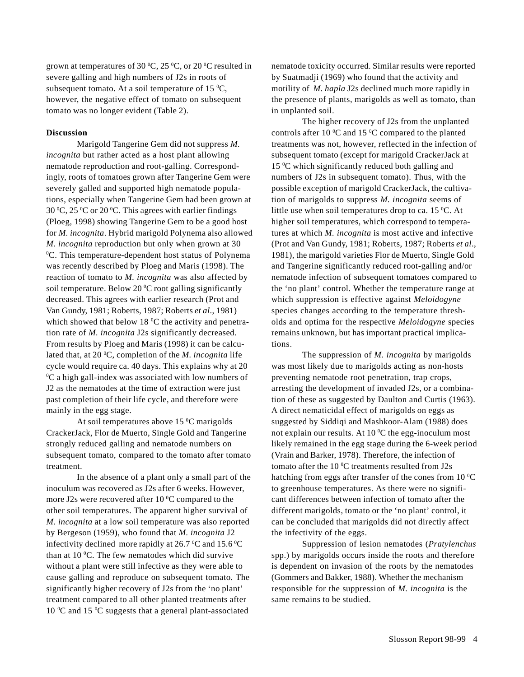grown at temperatures of 30  $\mathrm{^0C}$ , 25  $\mathrm{^0C}$ , or 20  $\mathrm{^0C}$  resulted in severe galling and high numbers of J2s in roots of subsequent tomato. At a soil temperature of 15  $\mathrm{^0C}$ , however, the negative effect of tomato on subsequent tomato was no longer evident (Table 2).

#### **Discussion**

Marigold Tangerine Gem did not suppress *M. incognita* but rather acted as a host plant allowing nematode reproduction and root-galling. Correspondingly, roots of tomatoes grown after Tangerine Gem were severely galled and supported high nematode populations, especially when Tangerine Gem had been grown at 30 °C, 25 °C or 20 °C. This agrees with earlier findings (Ploeg, 1998) showing Tangerine Gem to be a good host for *M. incognita*. Hybrid marigold Polynema also allowed *M. incognita* reproduction but only when grown at 30 0 C. This temperature-dependent host status of Polynema was recently described by Ploeg and Maris (1998). The reaction of tomato to *M. incognita* was also affected by soil temperature. Below 20  $\rm{^oC}$  root galling significantly decreased. This agrees with earlier research (Prot and Van Gundy, 1981; Roberts, 1987; Roberts *et al*., 1981) which showed that below  $18 \degree C$  the activity and penetration rate of *M. incognita* J2s significantly decreased. From results by Ploeg and Maris (1998) it can be calculated that, at 20 °C, completion of the *M. incognita* life cycle would require ca. 40 days. This explains why at 20 0 C a high gall-index was associated with low numbers of J2 as the nematodes at the time of extraction were just past completion of their life cycle, and therefore were mainly in the egg stage.

At soil temperatures above 15  $\mathrm{^0C}$  marigolds CrackerJack, Flor de Muerto, Single Gold and Tangerine strongly reduced galling and nematode numbers on subsequent tomato, compared to the tomato after tomato treatment.

In the absence of a plant only a small part of the inoculum was recovered as J2s after 6 weeks. However, more J2s were recovered after 10  $\rm{^0C}$  compared to the other soil temperatures. The apparent higher survival of *M. incognita* at a low soil temperature was also reported by Bergeson (1959), who found that *M. incognita* J2 infectivity declined more rapidly at 26.7  $\mathrm{^0C}$  and 15.6  $\mathrm{^0C}$ than at  $10^{\circ}$ C. The few nematodes which did survive without a plant were still infective as they were able to cause galling and reproduce on subsequent tomato. The significantly higher recovery of J2s from the 'no plant' treatment compared to all other planted treatments after 10 °C and 15 °C suggests that a general plant-associated

nematode toxicity occurred. Similar results were reported by Suatmadji (1969) who found that the activity and motility of *M. hapla* J2s declined much more rapidly in the presence of plants, marigolds as well as tomato, than in unplanted soil.

The higher recovery of J2s from the unplanted controls after 10  $\rm{^0C}$  and 15  $\rm{^0C}$  compared to the planted treatments was not, however, reflected in the infection of subsequent tomato (except for marigold CrackerJack at  $15 \degree C$  which significantly reduced both galling and numbers of J2s in subsequent tomato). Thus, with the possible exception of marigold CrackerJack, the cultivation of marigolds to suppress *M. incognita* seems of little use when soil temperatures drop to ca. 15  $\mathrm{^0C}$ . At higher soil temperatures, which correspond to temperatures at which *M. incognita* is most active and infective (Prot and Van Gundy, 1981; Roberts, 1987; Roberts *et al*., 1981), the marigold varieties Flor de Muerto, Single Gold and Tangerine significantly reduced root-galling and/or nematode infection of subsequent tomatoes compared to the 'no plant' control. Whether the temperature range at which suppression is effective against *Meloidogyne* species changes according to the temperature thresholds and optima for the respective *Meloidogyne* species remains unknown, but has important practical implications.

The suppression of *M. incognita* by marigolds was most likely due to marigolds acting as non-hosts preventing nematode root penetration, trap crops, arresting the development of invaded J2s, or a combination of these as suggested by Daulton and Curtis (1963). A direct nematicidal effect of marigolds on eggs as suggested by Siddiqi and Mashkoor-Alam (1988) does not explain our results. At  $10\,^{\circ}\text{C}$  the egg-inoculum most likely remained in the egg stage during the 6-week period (Vrain and Barker, 1978). Therefore, the infection of tomato after the  $10\,^{\rm o}{\rm C}$  treatments resulted from J2s hatching from eggs after transfer of the cones from 10  $\rm{^0C}$ to greenhouse temperatures. As there were no significant differences between infection of tomato after the different marigolds, tomato or the 'no plant' control, it can be concluded that marigolds did not directly affect the infectivity of the eggs.

Suppression of lesion nematodes (*Pratylenchus* spp.) by marigolds occurs inside the roots and therefore is dependent on invasion of the roots by the nematodes (Gommers and Bakker, 1988). Whether the mechanism responsible for the suppression of *M. incognita* is the same remains to be studied.